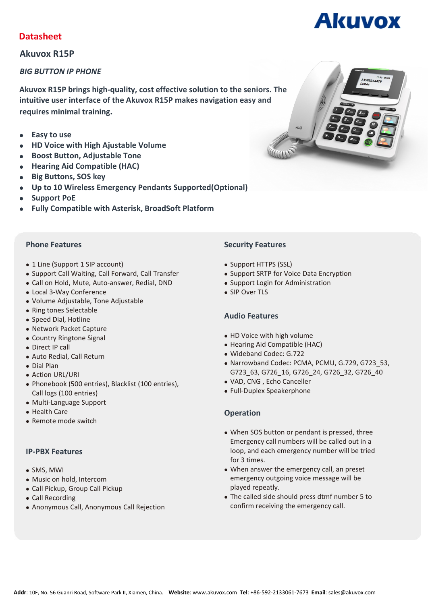# **Datasheet**

## **Akuvox R15P**

#### *BIG BUTTON IP PHONE*

**Akuvox R15P brings high-quality, cost effective solution to the seniors.The intuitive user interface of the Akuvox R15P makes navigation easy and requires minimal training.**

- **Easy to use**
- **HD Voice with High Ajustable Volume**
- **Boost Button, Adjustable Tone**
- **Hearing Aid Compatible (HAC)**
- **Big Buttons, SOS key**
- **Up to 10 Wireless Emergency Pendants Supported(Optional)**
- **Support PoE**
- **Fully Compatible with Asterisk, BroadSoft Platform**

- 1 Line (Support 1 SIP account)
- Support Call Waiting, Call Forward, Call Transfer
- Call on Hold, Mute, Auto-answer, Redial, DND
- Local 3-Way Conference
- Volume Adjustable, Tone Adjustable
- Ring tones Selectable
- Speed Dial, Hotline
- Network Packet Capture
- Country Ringtone Signal
- Direct IP call
- Auto Redial, Call Return
- Dial Plan
- Action URL/URI
- Phonebook (500 entries), Blacklist (100 entries), Call logs (100 entries)
- Multi-Language Support
- Health Care
- Remote mode switch

#### **IP-PBX Features**

- SMS, MWI
- Music on hold, Intercom
- Call Pickup, Group Call Pickup
- Call Recording
- Anonymous Call, Anonymous Call Rejection

#### **Phone Features Security Features**

- Support HTTPS (SSL)
- Support SRTP for Voice Data Encryption
- Support Login for Administration
- SIP Over TLS

#### **Audio Features**

- HD Voice with high volume
- Hearing Aid Compatible (HAC)
- Wideband Codec: G.722
- Narrowband Codec: PCMA, PCMU, G.729, G723\_53, G723\_63, G726\_16, G726\_24, G726\_32, G726\_40
- VAD, CNG , Echo Canceller
- Full-Duplex Speakerphone

### **Operation**

- When SOS button or pendant is pressed, three Emergency call numbers will be called out in a loop, and each emergency number will be tried for 3 times.
- When answer the emergency call, an preset emergency outgoing voice message will be played repeatly.
- The called side should press dtmf number 5 to confirm receiving the emergency call.